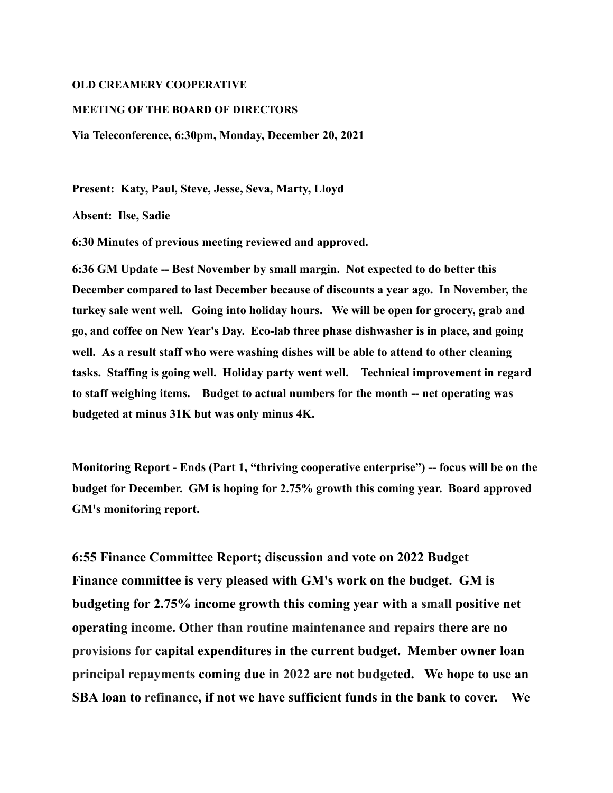## **OLD CREAMERY COOPERATIVE**

## **MEETING OF THE BOARD OF DIRECTORS**

**Via Teleconference, 6:30pm, Monday, December 20, 2021**

**Present: Katy, Paul, Steve, Jesse, Seva, Marty, Lloyd**

**Absent: Ilse, Sadie**

**6:30 Minutes of previous meeting reviewed and approved.**

**6:36 GM Update -- Best November by small margin. Not expected to do better this December compared to last December because of discounts a year ago. In November, the turkey sale went well. Going into holiday hours. We will be open for grocery, grab and go, and coffee on New Year's Day. Eco-lab three phase dishwasher is in place, and going well. As a result staff who were washing dishes will be able to attend to other cleaning tasks. Staffing is going well. Holiday party went well. Technical improvement in regard to staff weighing items. Budget to actual numbers for the month -- net operating was budgeted at minus 31K but was only minus 4K.**

**Monitoring Report - Ends (Part 1, "thriving cooperative enterprise") -- focus will be on the budget for December. GM is hoping for 2.75% growth this coming year. Board approved GM's monitoring report.**

**6:55 Finance Committee Report; discussion and vote on 2022 Budget Finance committee is very pleased with GM's work on the budget. GM is budgeting for 2.75% income growth this coming year with a small positive net operating income. Other than routine maintenance and repairs there are no provisions for capital expenditures in the current budget. Member owner loan principal repayments coming due in 2022 are not budgeted. We hope to use an SBA loan to refinance, if not we have sufficient funds in the bank to cover. We**